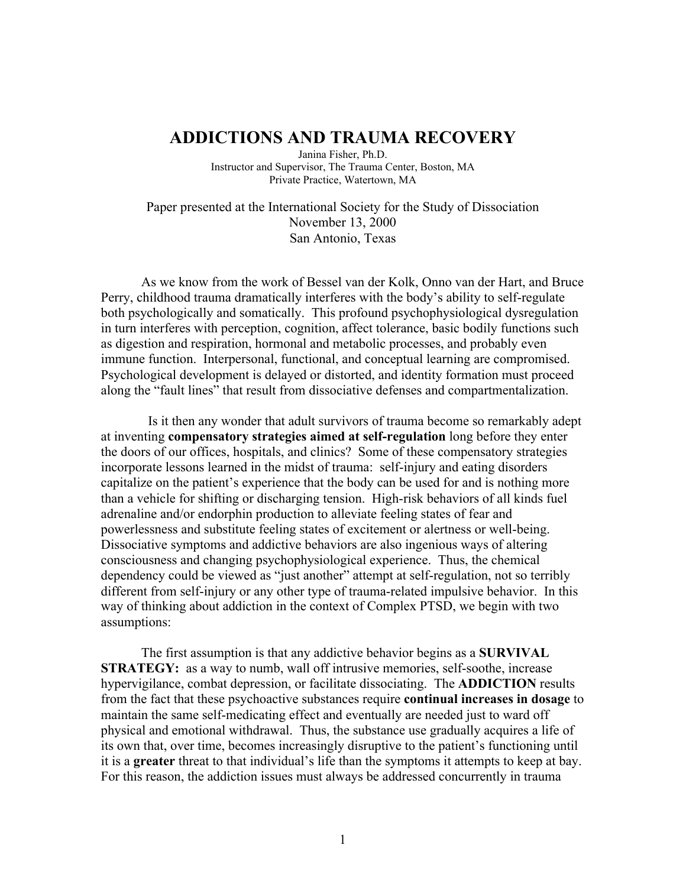## ADDICTIONS AND TRAUMA RECOVERY

Janina Fisher, Ph.D. Instructor and Supervisor, The Trauma Center, Boston, MA Private Practice, Watertown, MA

Paper presented at the International Society for the Study of Dissociation November 13, 2000 San Antonio, Texas

As we know from the work of Bessel van der Kolk, Onno van der Hart, and Bruce Perry, childhood trauma dramatically interferes with the body's ability to self-regulate both psychologically and somatically. This profound psychophysiological dysregulation in turn interferes with perception, cognition, affect tolerance, basic bodily functions such as digestion and respiration, hormonal and metabolic processes, and probably even immune function. Interpersonal, functional, and conceptual learning are compromised. Psychological development is delayed or distorted, and identity formation must proceed along the "fault lines" that result from dissociative defenses and compartmentalization.

 Is it then any wonder that adult survivors of trauma become so remarkably adept at inventing compensatory strategies aimed at self-regulation long before they enter the doors of our offices, hospitals, and clinics? Some of these compensatory strategies incorporate lessons learned in the midst of trauma: self-injury and eating disorders capitalize on the patient's experience that the body can be used for and is nothing more than a vehicle for shifting or discharging tension. High-risk behaviors of all kinds fuel adrenaline and/or endorphin production to alleviate feeling states of fear and powerlessness and substitute feeling states of excitement or alertness or well-being. Dissociative symptoms and addictive behaviors are also ingenious ways of altering consciousness and changing psychophysiological experience. Thus, the chemical dependency could be viewed as "just another" attempt at self-regulation, not so terribly different from self-injury or any other type of trauma-related impulsive behavior. In this way of thinking about addiction in the context of Complex PTSD, we begin with two assumptions:

The first assumption is that any addictive behavior begins as a SURVIVAL STRATEGY: as a way to numb, wall off intrusive memories, self-soothe, increase hypervigilance, combat depression, or facilitate dissociating. The ADDICTION results from the fact that these psychoactive substances require continual increases in dosage to maintain the same self-medicating effect and eventually are needed just to ward off physical and emotional withdrawal. Thus, the substance use gradually acquires a life of its own that, over time, becomes increasingly disruptive to the patient's functioning until it is a greater threat to that individual's life than the symptoms it attempts to keep at bay. For this reason, the addiction issues must always be addressed concurrently in trauma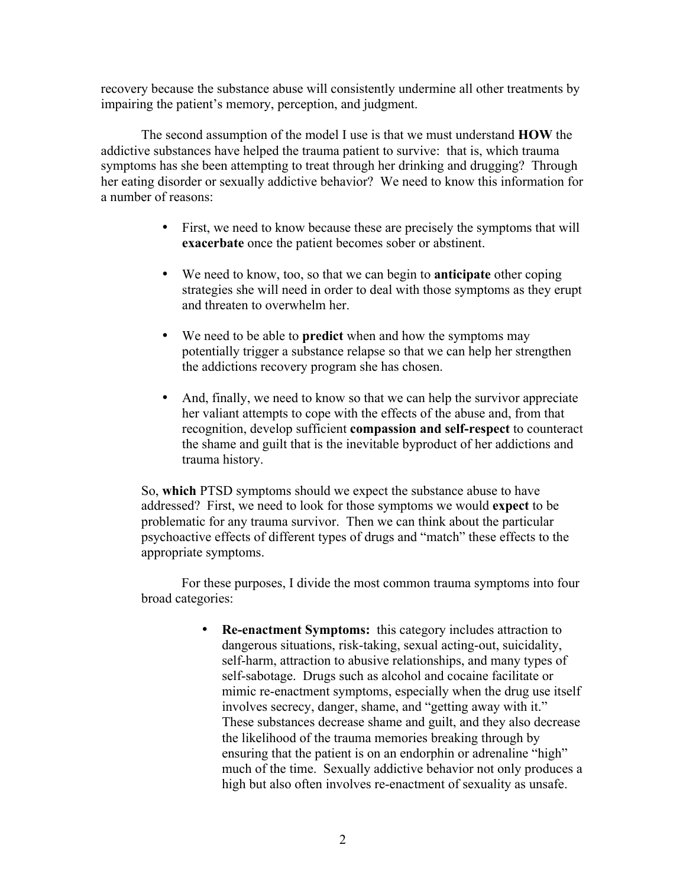recovery because the substance abuse will consistently undermine all other treatments by impairing the patient's memory, perception, and judgment.

The second assumption of the model I use is that we must understand **HOW** the addictive substances have helped the trauma patient to survive: that is, which trauma symptoms has she been attempting to treat through her drinking and drugging? Through her eating disorder or sexually addictive behavior? We need to know this information for a number of reasons:

- First, we need to know because these are precisely the symptoms that will exacerbate once the patient becomes sober or abstinent.
- We need to know, too, so that we can begin to **anticipate** other coping strategies she will need in order to deal with those symptoms as they erupt and threaten to overwhelm her.
- We need to be able to **predict** when and how the symptoms may potentially trigger a substance relapse so that we can help her strengthen the addictions recovery program she has chosen.
- And, finally, we need to know so that we can help the survivor appreciate her valiant attempts to cope with the effects of the abuse and, from that recognition, develop sufficient compassion and self-respect to counteract the shame and guilt that is the inevitable byproduct of her addictions and trauma history.

So, which PTSD symptoms should we expect the substance abuse to have addressed? First, we need to look for those symptoms we would expect to be problematic for any trauma survivor. Then we can think about the particular psychoactive effects of different types of drugs and "match" these effects to the appropriate symptoms.

For these purposes, I divide the most common trauma symptoms into four broad categories:

> • Re-enactment Symptoms: this category includes attraction to dangerous situations, risk-taking, sexual acting-out, suicidality, self-harm, attraction to abusive relationships, and many types of self-sabotage. Drugs such as alcohol and cocaine facilitate or mimic re-enactment symptoms, especially when the drug use itself involves secrecy, danger, shame, and "getting away with it." These substances decrease shame and guilt, and they also decrease the likelihood of the trauma memories breaking through by ensuring that the patient is on an endorphin or adrenaline "high" much of the time. Sexually addictive behavior not only produces a high but also often involves re-enactment of sexuality as unsafe.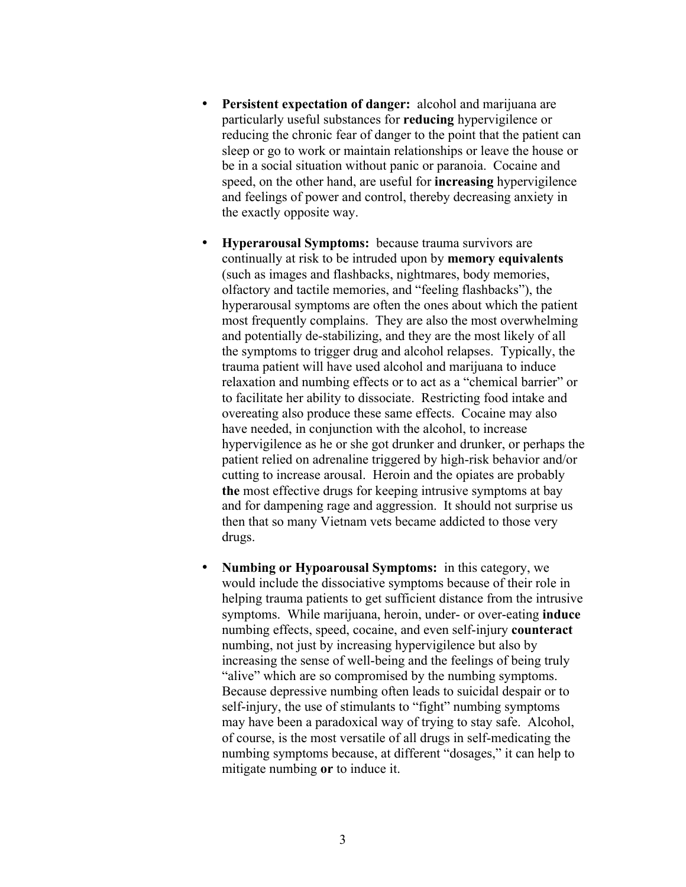- Persistent expectation of danger: alcohol and marijuana are particularly useful substances for reducing hypervigilence or reducing the chronic fear of danger to the point that the patient can sleep or go to work or maintain relationships or leave the house or be in a social situation without panic or paranoia. Cocaine and speed, on the other hand, are useful for increasing hypervigilence and feelings of power and control, thereby decreasing anxiety in the exactly opposite way.
- Hyperarousal Symptoms: because trauma survivors are continually at risk to be intruded upon by memory equivalents (such as images and flashbacks, nightmares, body memories, olfactory and tactile memories, and "feeling flashbacks"), the hyperarousal symptoms are often the ones about which the patient most frequently complains. They are also the most overwhelming and potentially de-stabilizing, and they are the most likely of all the symptoms to trigger drug and alcohol relapses. Typically, the trauma patient will have used alcohol and marijuana to induce relaxation and numbing effects or to act as a "chemical barrier" or to facilitate her ability to dissociate. Restricting food intake and overeating also produce these same effects. Cocaine may also have needed, in conjunction with the alcohol, to increase hypervigilence as he or she got drunker and drunker, or perhaps the patient relied on adrenaline triggered by high-risk behavior and/or cutting to increase arousal. Heroin and the opiates are probably the most effective drugs for keeping intrusive symptoms at bay and for dampening rage and aggression. It should not surprise us then that so many Vietnam vets became addicted to those very drugs.
- Numbing or Hypoarousal Symptoms: in this category, we would include the dissociative symptoms because of their role in helping trauma patients to get sufficient distance from the intrusive symptoms. While marijuana, heroin, under- or over-eating **induce** numbing effects, speed, cocaine, and even self-injury counteract numbing, not just by increasing hypervigilence but also by increasing the sense of well-being and the feelings of being truly "alive" which are so compromised by the numbing symptoms. Because depressive numbing often leads to suicidal despair or to self-injury, the use of stimulants to "fight" numbing symptoms may have been a paradoxical way of trying to stay safe. Alcohol, of course, is the most versatile of all drugs in self-medicating the numbing symptoms because, at different "dosages," it can help to mitigate numbing or to induce it.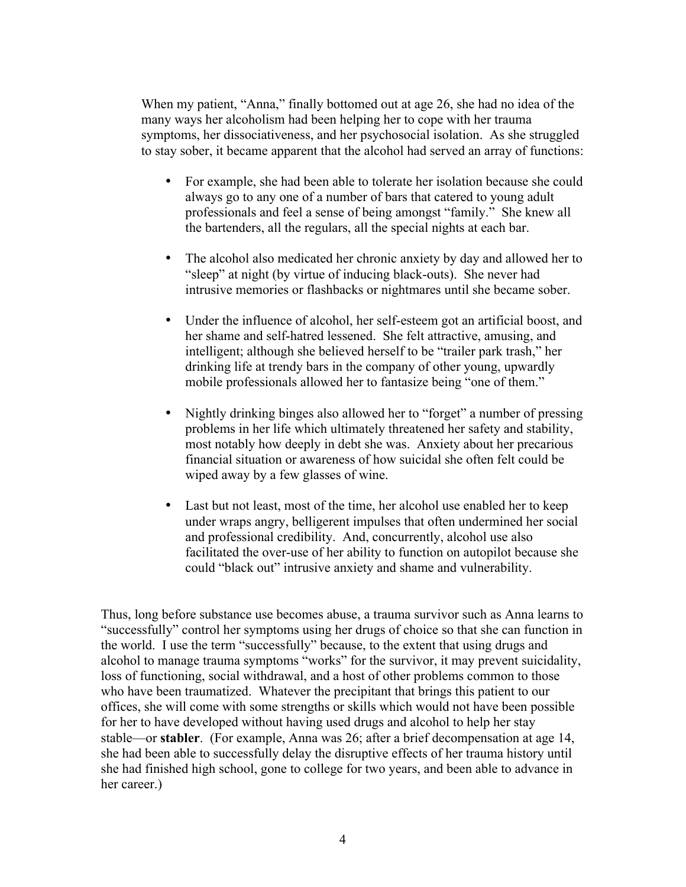When my patient, "Anna," finally bottomed out at age 26, she had no idea of the many ways her alcoholism had been helping her to cope with her trauma symptoms, her dissociativeness, and her psychosocial isolation. As she struggled to stay sober, it became apparent that the alcohol had served an array of functions:

- For example, she had been able to tolerate her isolation because she could always go to any one of a number of bars that catered to young adult professionals and feel a sense of being amongst "family." She knew all the bartenders, all the regulars, all the special nights at each bar.
- The alcohol also medicated her chronic anxiety by day and allowed her to "sleep" at night (by virtue of inducing black-outs). She never had intrusive memories or flashbacks or nightmares until she became sober.
- Under the influence of alcohol, her self-esteem got an artificial boost, and her shame and self-hatred lessened. She felt attractive, amusing, and intelligent; although she believed herself to be "trailer park trash," her drinking life at trendy bars in the company of other young, upwardly mobile professionals allowed her to fantasize being "one of them."
- Nightly drinking binges also allowed her to "forget" a number of pressing problems in her life which ultimately threatened her safety and stability, most notably how deeply in debt she was. Anxiety about her precarious financial situation or awareness of how suicidal she often felt could be wiped away by a few glasses of wine.
- Last but not least, most of the time, her alcohol use enabled her to keep under wraps angry, belligerent impulses that often undermined her social and professional credibility. And, concurrently, alcohol use also facilitated the over-use of her ability to function on autopilot because she could "black out" intrusive anxiety and shame and vulnerability.

Thus, long before substance use becomes abuse, a trauma survivor such as Anna learns to "successfully" control her symptoms using her drugs of choice so that she can function in the world. I use the term "successfully" because, to the extent that using drugs and alcohol to manage trauma symptoms "works" for the survivor, it may prevent suicidality, loss of functioning, social withdrawal, and a host of other problems common to those who have been traumatized. Whatever the precipitant that brings this patient to our offices, she will come with some strengths or skills which would not have been possible for her to have developed without having used drugs and alcohol to help her stay stable—or stabler. (For example, Anna was 26; after a brief decompensation at age 14, she had been able to successfully delay the disruptive effects of her trauma history until she had finished high school, gone to college for two years, and been able to advance in her career.)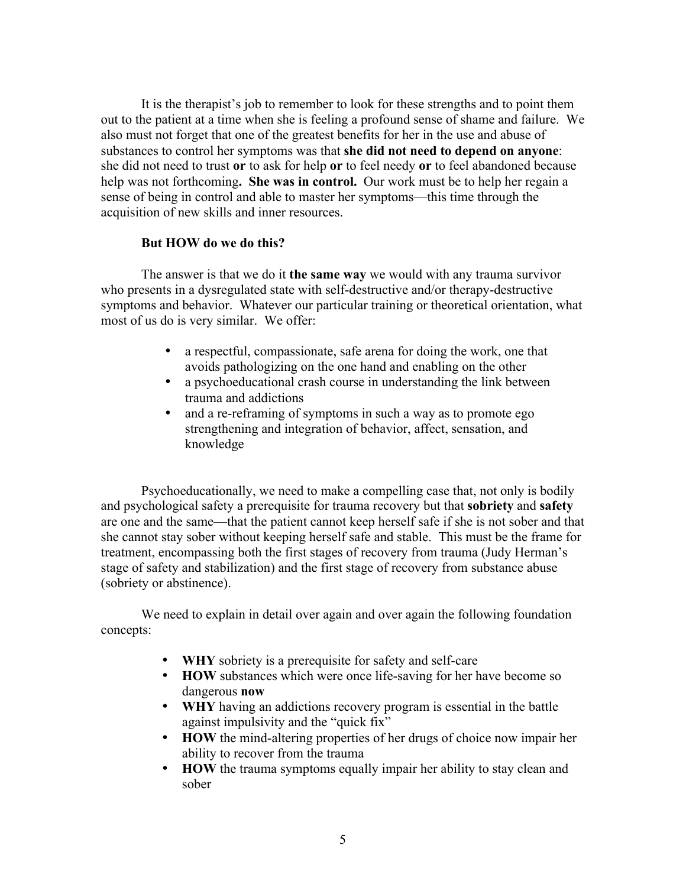It is the therapist's job to remember to look for these strengths and to point them out to the patient at a time when she is feeling a profound sense of shame and failure. We also must not forget that one of the greatest benefits for her in the use and abuse of substances to control her symptoms was that she did not need to depend on anyone: she did not need to trust or to ask for help or to feel needy or to feel abandoned because help was not forthcoming. She was in control. Our work must be to help her regain a sense of being in control and able to master her symptoms—this time through the acquisition of new skills and inner resources.

## But HOW do we do this?

The answer is that we do it **the same way** we would with any trauma survivor who presents in a dysregulated state with self-destructive and/or therapy-destructive symptoms and behavior. Whatever our particular training or theoretical orientation, what most of us do is very similar. We offer:

- a respectful, compassionate, safe arena for doing the work, one that avoids pathologizing on the one hand and enabling on the other
- a psychoeducational crash course in understanding the link between trauma and addictions
- and a re-reframing of symptoms in such a way as to promote ego strengthening and integration of behavior, affect, sensation, and knowledge

Psychoeducationally, we need to make a compelling case that, not only is bodily and psychological safety a prerequisite for trauma recovery but that **sobriety** and **safety** are one and the same—that the patient cannot keep herself safe if she is not sober and that she cannot stay sober without keeping herself safe and stable. This must be the frame for treatment, encompassing both the first stages of recovery from trauma (Judy Herman's stage of safety and stabilization) and the first stage of recovery from substance abuse (sobriety or abstinence).

We need to explain in detail over again and over again the following foundation concepts:

- WHY sobriety is a prerequisite for safety and self-care
- HOW substances which were once life-saving for her have become so dangerous now
- WHY having an addictions recovery program is essential in the battle against impulsivity and the "quick fix"
- HOW the mind-altering properties of her drugs of choice now impair her ability to recover from the trauma
- HOW the trauma symptoms equally impair her ability to stay clean and sober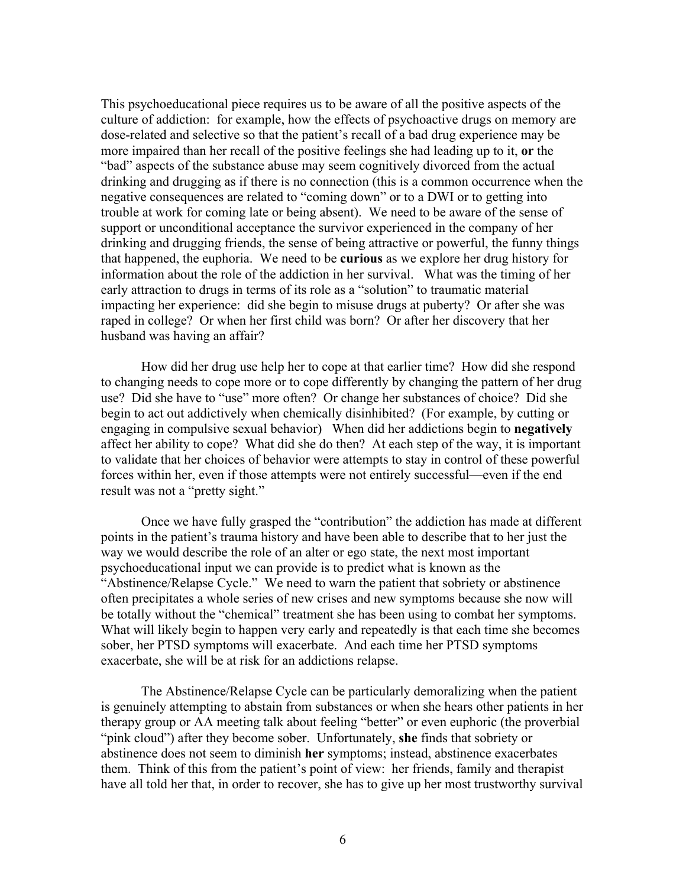This psychoeducational piece requires us to be aware of all the positive aspects of the culture of addiction: for example, how the effects of psychoactive drugs on memory are dose-related and selective so that the patient's recall of a bad drug experience may be more impaired than her recall of the positive feelings she had leading up to it, or the "bad" aspects of the substance abuse may seem cognitively divorced from the actual drinking and drugging as if there is no connection (this is a common occurrence when the negative consequences are related to "coming down" or to a DWI or to getting into trouble at work for coming late or being absent). We need to be aware of the sense of support or unconditional acceptance the survivor experienced in the company of her drinking and drugging friends, the sense of being attractive or powerful, the funny things that happened, the euphoria. We need to be curious as we explore her drug history for information about the role of the addiction in her survival. What was the timing of her early attraction to drugs in terms of its role as a "solution" to traumatic material impacting her experience: did she begin to misuse drugs at puberty? Or after she was raped in college? Or when her first child was born? Or after her discovery that her husband was having an affair?

How did her drug use help her to cope at that earlier time? How did she respond to changing needs to cope more or to cope differently by changing the pattern of her drug use? Did she have to "use" more often? Or change her substances of choice? Did she begin to act out addictively when chemically disinhibited? (For example, by cutting or engaging in compulsive sexual behavior) When did her addictions begin to negatively affect her ability to cope? What did she do then? At each step of the way, it is important to validate that her choices of behavior were attempts to stay in control of these powerful forces within her, even if those attempts were not entirely successful—even if the end result was not a "pretty sight."

Once we have fully grasped the "contribution" the addiction has made at different points in the patient's trauma history and have been able to describe that to her just the way we would describe the role of an alter or ego state, the next most important psychoeducational input we can provide is to predict what is known as the "Abstinence/Relapse Cycle." We need to warn the patient that sobriety or abstinence often precipitates a whole series of new crises and new symptoms because she now will be totally without the "chemical" treatment she has been using to combat her symptoms. What will likely begin to happen very early and repeatedly is that each time she becomes sober, her PTSD symptoms will exacerbate. And each time her PTSD symptoms exacerbate, she will be at risk for an addictions relapse.

The Abstinence/Relapse Cycle can be particularly demoralizing when the patient is genuinely attempting to abstain from substances or when she hears other patients in her therapy group or AA meeting talk about feeling "better" or even euphoric (the proverbial "pink cloud") after they become sober. Unfortunately, she finds that sobriety or abstinence does not seem to diminish her symptoms; instead, abstinence exacerbates them. Think of this from the patient's point of view: her friends, family and therapist have all told her that, in order to recover, she has to give up her most trustworthy survival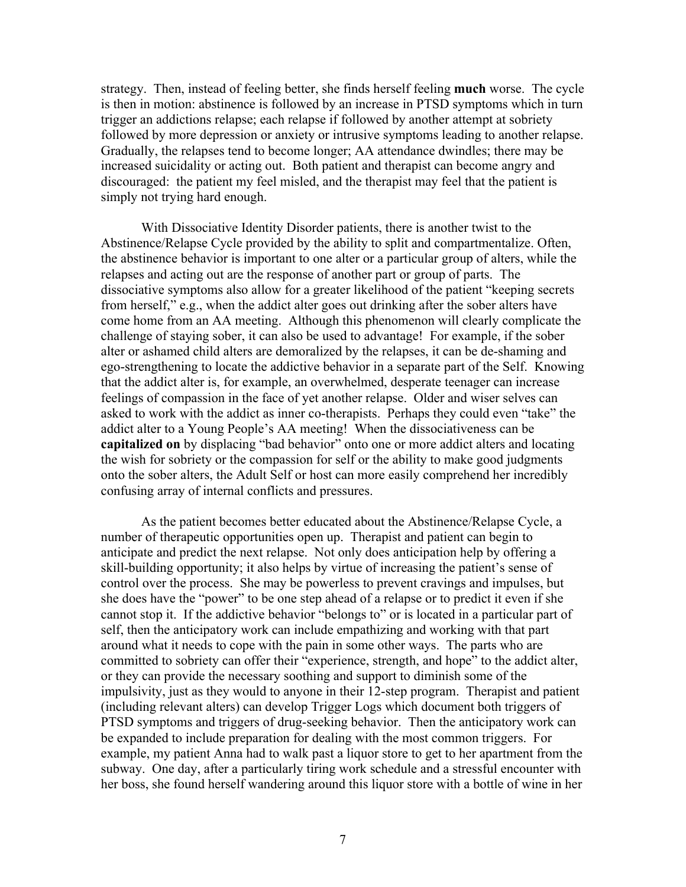strategy. Then, instead of feeling better, she finds herself feeling much worse. The cycle is then in motion: abstinence is followed by an increase in PTSD symptoms which in turn trigger an addictions relapse; each relapse if followed by another attempt at sobriety followed by more depression or anxiety or intrusive symptoms leading to another relapse. Gradually, the relapses tend to become longer; AA attendance dwindles; there may be increased suicidality or acting out. Both patient and therapist can become angry and discouraged: the patient my feel misled, and the therapist may feel that the patient is simply not trying hard enough.

With Dissociative Identity Disorder patients, there is another twist to the Abstinence/Relapse Cycle provided by the ability to split and compartmentalize. Often, the abstinence behavior is important to one alter or a particular group of alters, while the relapses and acting out are the response of another part or group of parts. The dissociative symptoms also allow for a greater likelihood of the patient "keeping secrets from herself," e.g., when the addict alter goes out drinking after the sober alters have come home from an AA meeting. Although this phenomenon will clearly complicate the challenge of staying sober, it can also be used to advantage! For example, if the sober alter or ashamed child alters are demoralized by the relapses, it can be de-shaming and ego-strengthening to locate the addictive behavior in a separate part of the Self. Knowing that the addict alter is, for example, an overwhelmed, desperate teenager can increase feelings of compassion in the face of yet another relapse. Older and wiser selves can asked to work with the addict as inner co-therapists. Perhaps they could even "take" the addict alter to a Young People's AA meeting! When the dissociativeness can be capitalized on by displacing "bad behavior" onto one or more addict alters and locating the wish for sobriety or the compassion for self or the ability to make good judgments onto the sober alters, the Adult Self or host can more easily comprehend her incredibly confusing array of internal conflicts and pressures.

As the patient becomes better educated about the Abstinence/Relapse Cycle, a number of therapeutic opportunities open up. Therapist and patient can begin to anticipate and predict the next relapse. Not only does anticipation help by offering a skill-building opportunity; it also helps by virtue of increasing the patient's sense of control over the process. She may be powerless to prevent cravings and impulses, but she does have the "power" to be one step ahead of a relapse or to predict it even if she cannot stop it. If the addictive behavior "belongs to" or is located in a particular part of self, then the anticipatory work can include empathizing and working with that part around what it needs to cope with the pain in some other ways. The parts who are committed to sobriety can offer their "experience, strength, and hope" to the addict alter, or they can provide the necessary soothing and support to diminish some of the impulsivity, just as they would to anyone in their 12-step program. Therapist and patient (including relevant alters) can develop Trigger Logs which document both triggers of PTSD symptoms and triggers of drug-seeking behavior. Then the anticipatory work can be expanded to include preparation for dealing with the most common triggers. For example, my patient Anna had to walk past a liquor store to get to her apartment from the subway. One day, after a particularly tiring work schedule and a stressful encounter with her boss, she found herself wandering around this liquor store with a bottle of wine in her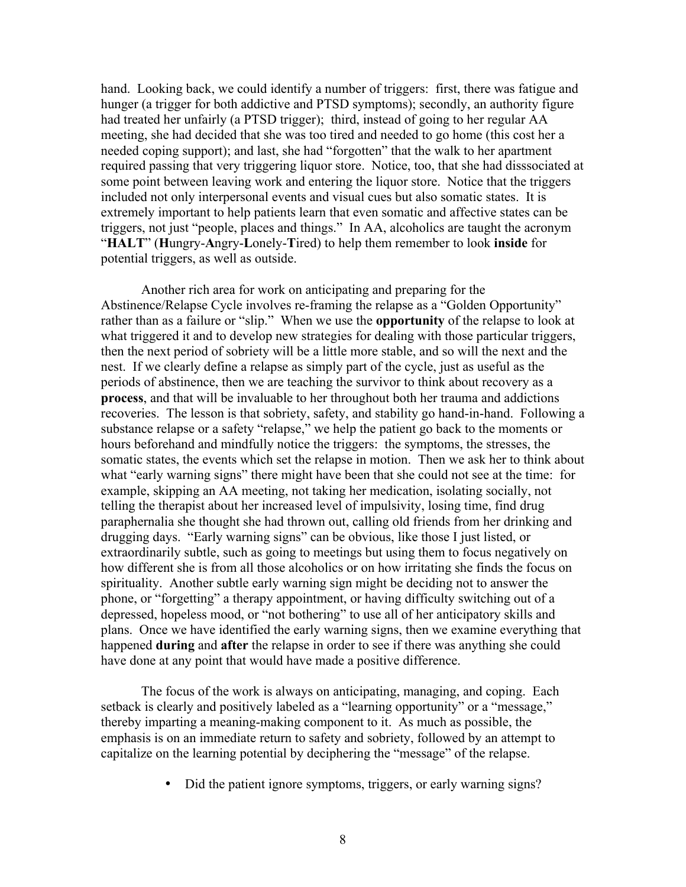hand. Looking back, we could identify a number of triggers: first, there was fatigue and hunger (a trigger for both addictive and PTSD symptoms); secondly, an authority figure had treated her unfairly (a PTSD trigger); third, instead of going to her regular AA meeting, she had decided that she was too tired and needed to go home (this cost her a needed coping support); and last, she had "forgotten" that the walk to her apartment required passing that very triggering liquor store. Notice, too, that she had disssociated at some point between leaving work and entering the liquor store. Notice that the triggers included not only interpersonal events and visual cues but also somatic states. It is extremely important to help patients learn that even somatic and affective states can be triggers, not just "people, places and things." In AA, alcoholics are taught the acronym "HALT" (Hungry-Angry-Lonely-Tired) to help them remember to look inside for potential triggers, as well as outside.

Another rich area for work on anticipating and preparing for the Abstinence/Relapse Cycle involves re-framing the relapse as a "Golden Opportunity" rather than as a failure or "slip." When we use the **opportunity** of the relapse to look at what triggered it and to develop new strategies for dealing with those particular triggers, then the next period of sobriety will be a little more stable, and so will the next and the nest. If we clearly define a relapse as simply part of the cycle, just as useful as the periods of abstinence, then we are teaching the survivor to think about recovery as a process, and that will be invaluable to her throughout both her trauma and addictions recoveries. The lesson is that sobriety, safety, and stability go hand-in-hand. Following a substance relapse or a safety "relapse," we help the patient go back to the moments or hours beforehand and mindfully notice the triggers: the symptoms, the stresses, the somatic states, the events which set the relapse in motion. Then we ask her to think about what "early warning signs" there might have been that she could not see at the time: for example, skipping an AA meeting, not taking her medication, isolating socially, not telling the therapist about her increased level of impulsivity, losing time, find drug paraphernalia she thought she had thrown out, calling old friends from her drinking and drugging days. "Early warning signs" can be obvious, like those I just listed, or extraordinarily subtle, such as going to meetings but using them to focus negatively on how different she is from all those alcoholics or on how irritating she finds the focus on spirituality. Another subtle early warning sign might be deciding not to answer the phone, or "forgetting" a therapy appointment, or having difficulty switching out of a depressed, hopeless mood, or "not bothering" to use all of her anticipatory skills and plans. Once we have identified the early warning signs, then we examine everything that happened **during** and **after** the relapse in order to see if there was anything she could have done at any point that would have made a positive difference.

The focus of the work is always on anticipating, managing, and coping. Each setback is clearly and positively labeled as a "learning opportunity" or a "message," thereby imparting a meaning-making component to it. As much as possible, the emphasis is on an immediate return to safety and sobriety, followed by an attempt to capitalize on the learning potential by deciphering the "message" of the relapse.

• Did the patient ignore symptoms, triggers, or early warning signs?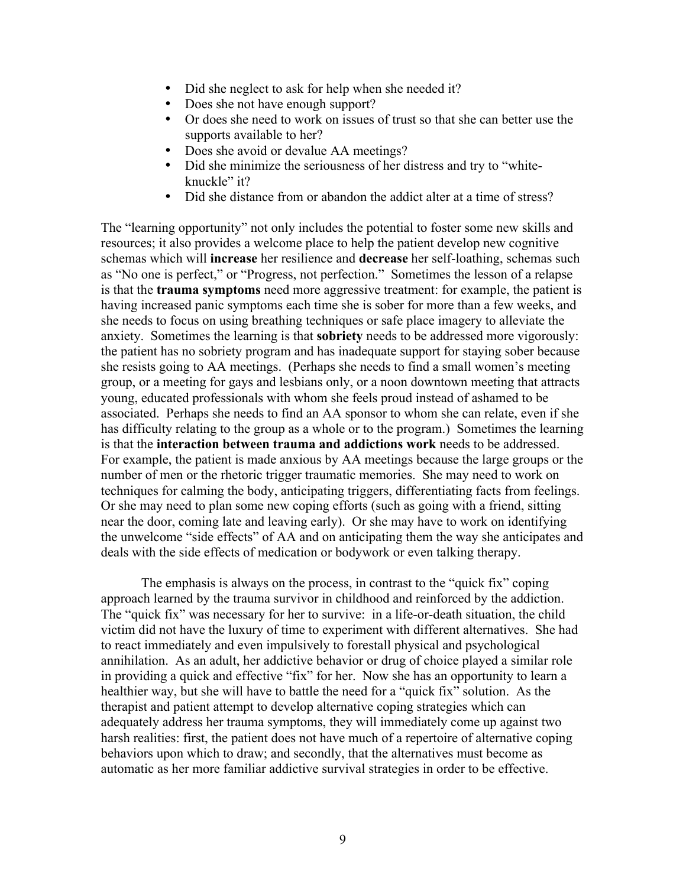- Did she neglect to ask for help when she needed it?
- Does she not have enough support?
- Or does she need to work on issues of trust so that she can better use the supports available to her?
- Does she avoid or devalue AA meetings?
- Did she minimize the seriousness of her distress and try to "whiteknuckle" it?
- Did she distance from or abandon the addict alter at a time of stress?

The "learning opportunity" not only includes the potential to foster some new skills and resources; it also provides a welcome place to help the patient develop new cognitive schemas which will increase her resilience and decrease her self-loathing, schemas such as "No one is perfect," or "Progress, not perfection." Sometimes the lesson of a relapse is that the trauma symptoms need more aggressive treatment: for example, the patient is having increased panic symptoms each time she is sober for more than a few weeks, and she needs to focus on using breathing techniques or safe place imagery to alleviate the anxiety. Sometimes the learning is that sobriety needs to be addressed more vigorously: the patient has no sobriety program and has inadequate support for staying sober because she resists going to AA meetings. (Perhaps she needs to find a small women's meeting group, or a meeting for gays and lesbians only, or a noon downtown meeting that attracts young, educated professionals with whom she feels proud instead of ashamed to be associated. Perhaps she needs to find an AA sponsor to whom she can relate, even if she has difficulty relating to the group as a whole or to the program.) Sometimes the learning is that the interaction between trauma and addictions work needs to be addressed. For example, the patient is made anxious by AA meetings because the large groups or the number of men or the rhetoric trigger traumatic memories. She may need to work on techniques for calming the body, anticipating triggers, differentiating facts from feelings. Or she may need to plan some new coping efforts (such as going with a friend, sitting near the door, coming late and leaving early). Or she may have to work on identifying the unwelcome "side effects" of AA and on anticipating them the way she anticipates and deals with the side effects of medication or bodywork or even talking therapy.

The emphasis is always on the process, in contrast to the "quick fix" coping approach learned by the trauma survivor in childhood and reinforced by the addiction. The "quick fix" was necessary for her to survive: in a life-or-death situation, the child victim did not have the luxury of time to experiment with different alternatives. She had to react immediately and even impulsively to forestall physical and psychological annihilation. As an adult, her addictive behavior or drug of choice played a similar role in providing a quick and effective "fix" for her. Now she has an opportunity to learn a healthier way, but she will have to battle the need for a "quick fix" solution. As the therapist and patient attempt to develop alternative coping strategies which can adequately address her trauma symptoms, they will immediately come up against two harsh realities: first, the patient does not have much of a repertoire of alternative coping behaviors upon which to draw; and secondly, that the alternatives must become as automatic as her more familiar addictive survival strategies in order to be effective.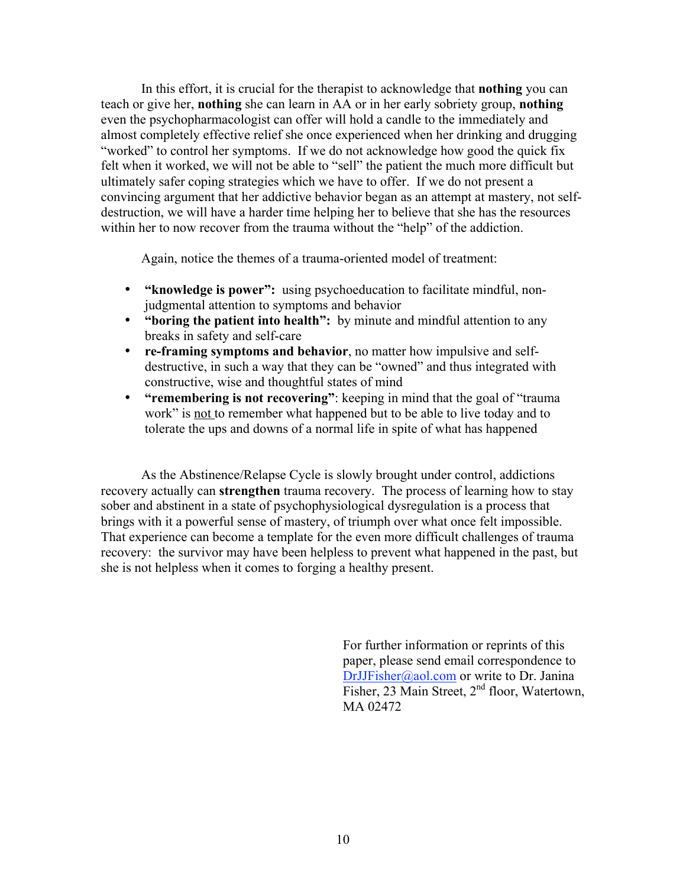In this effort, it is crucial for the therapist to acknowledge that nothing you can teach or give her, nothing she can learn in AA or in her early sobriety group, nothing even the psychopharmacologist can offer will hold a candle to the immediately and almost completely effective relief she once experienced when her drinking and drugging "worked" to control her symptoms. If we do not acknowledge how good the quick fix felt when it worked, we will not be able to "sell" the patient the much more difficult but ultimately safer coping strategies which we have to offer. If we do not present a convincing argument that her addictive behavior began as an attempt at mastery, not selfdestruction, we will have a harder time helping her to believe that she has the resources within her to now recover from the trauma without the "help" of the addiction.

Again, notice the themes of a trauma-oriented model of treatment:

- "knowledge is power": using psychoeducation to facilitate mindful, nonjudgmental attention to symptoms and behavior
- "boring the patient into health": by minute and mindful attention to any breaks in safety and self-care
- re-framing symptoms and behavior, no matter how impulsive and selfdestructive, in such a way that they can be "owned" and thus integrated with constructive, wise and thoughtful states of mind
- "remembering is not recovering": keeping in mind that the goal of "trauma" work" is not to remember what happened but to be able to live today and to tolerate the ups and downs of a normal life in spite of what has happened

As the Abstinence/Relapse Cycle is slowly brought under control, addictions recovery actually can strengthen trauma recovery. The process of learning how to stay sober and abstinent in a state of psychophysiological dysregulation is a process that brings with it a powerful sense of mastery, of triumph over what once felt impossible. That experience can become a template for the even more difficult challenges of trauma recovery: the survivor may have been helpless to prevent what happened in the past, but she is not helpless when it comes to forging a healthy present.

> For further information or reprints of this paper, please send email correspondence to DrJJFisher@aol.com or write to Dr. Janina Fisher, 23 Main Street, 2<sup>nd</sup> floor, Watertown, MA 02472